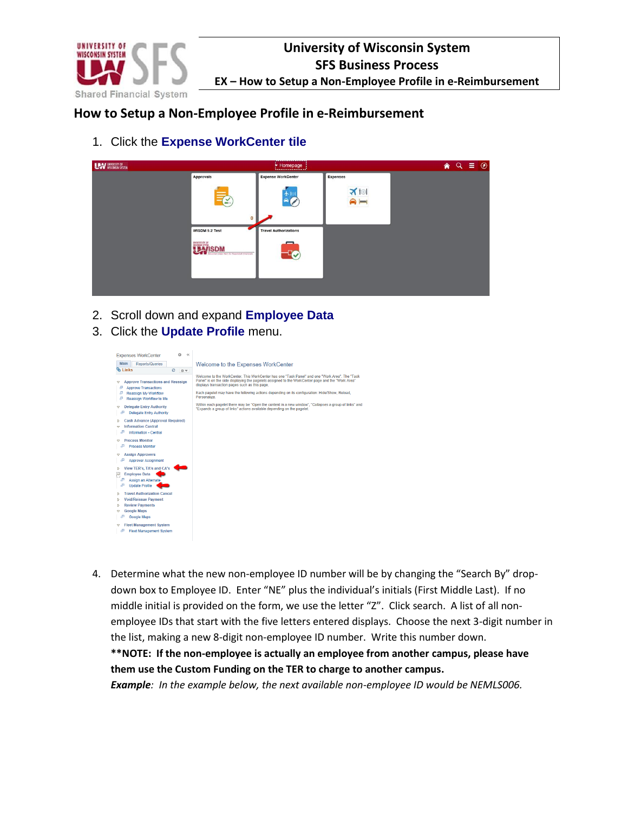

### **How to Setup a Non-Employee Profile in e-Reimbursement**

1. Click the **Expense WorkCenter tile**



- 2. Scroll down and expand **Employee Data**
- 3. Click the **Update Profile** menu.

| ö<br>$\alpha$<br><b>Expenses WorkCenter</b><br>Main<br><b>Reports/Queries</b>                                                                                                          | Welcome to the Expenses WorkCenter                                                                                                                                                                                                                                                                                                                                                                                                                                                                                                                       |
|----------------------------------------------------------------------------------------------------------------------------------------------------------------------------------------|----------------------------------------------------------------------------------------------------------------------------------------------------------------------------------------------------------------------------------------------------------------------------------------------------------------------------------------------------------------------------------------------------------------------------------------------------------------------------------------------------------------------------------------------------------|
| ®∿ Links<br>$\circ$<br>$a -$                                                                                                                                                           |                                                                                                                                                                                                                                                                                                                                                                                                                                                                                                                                                          |
| <b>Approve Transactions and Reassign</b><br>U<br>Æ<br><b>Annrove Transactions</b><br>e<br>Reassign My Workflow<br>Æ<br>Reassign Workflow to Me<br><b>Delegate Entry Authority</b><br>v | Welcome to the WorkCenter. This WorkCenter has one "Task Panel" and one "Work Area". The "Task<br>Panel" is on the side displaying the pagelets assigned to the WorkCenter page and the "Work Area"<br>displays transaction pages such as this page.<br>Each pagelet may have the following actions depending on its configuration: Hide/Show, Reload,<br>Personalize<br>Within each pagelet there may be "Open the content in a new window". "Collapses a group of links" and<br>"Expands a group of links" actions available depending on the pagelet. |
| Æ<br><b>Delegate Entry Authority</b>                                                                                                                                                   |                                                                                                                                                                                                                                                                                                                                                                                                                                                                                                                                                          |
| <b>Cash Advance (Approval Required)</b><br>ь<br><b>Information Central</b><br>↔<br>JП,<br><b>Information - Central</b>                                                                 |                                                                                                                                                                                                                                                                                                                                                                                                                                                                                                                                                          |
| <b>Process Monitor</b><br>æ<br><b>Process Monitor</b>                                                                                                                                  |                                                                                                                                                                                                                                                                                                                                                                                                                                                                                                                                                          |
| <b>Assign Approvers</b><br>U<br>æ<br><b>Approver Assignment</b>                                                                                                                        |                                                                                                                                                                                                                                                                                                                                                                                                                                                                                                                                                          |
| View TER's, TA's and CA's<br>Ь<br>S<br><b>Employee Data</b><br>æ<br>Assign an Alternate<br>Đ<br><b>Update Profile</b>                                                                  |                                                                                                                                                                                                                                                                                                                                                                                                                                                                                                                                                          |
| <b>Travel Authorization Cancel</b><br>ь<br><b>Void/Reissue Payment</b><br>Þ<br><b>Review Payments</b><br>ь<br><b>Google Maps</b><br>o<br>F<br>Google Maps                              |                                                                                                                                                                                                                                                                                                                                                                                                                                                                                                                                                          |
| <b>Fleet Management System</b><br>$\Rightarrow$<br>Æ<br><b>Fleet Management System</b>                                                                                                 |                                                                                                                                                                                                                                                                                                                                                                                                                                                                                                                                                          |

4. Determine what the new non-employee ID number will be by changing the "Search By" dropdown box to Employee ID. Enter "NE" plus the individual's initials (First Middle Last). If no middle initial is provided on the form, we use the letter "Z". Click search. A list of all nonemployee IDs that start with the five letters entered displays. Choose the next 3-digit number in the list, making a new 8-digit non-employee ID number. Write this number down. **\*\*NOTE: If the non-employee is actually an employee from another campus, please have them use the Custom Funding on the TER to charge to another campus.** *Example: In the example below, the next available non-employee ID would be NEMLS006.*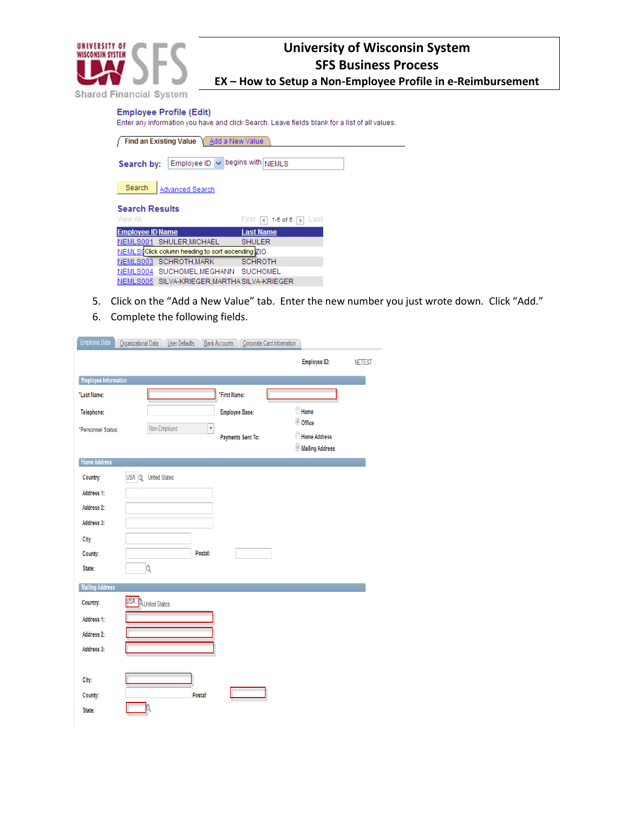

**EX – How to Setup a Non-Employee Profile in e-Reimbursement**

**Employee Profile (Edit)** 

Enter any information you have and click Search. Leave fields blank for a list of all values.

| <b>Find an Existing Value</b><br>Add a New Value   |                                    |  |  |  |  |  |  |  |  |
|----------------------------------------------------|------------------------------------|--|--|--|--|--|--|--|--|
| Employee ID $\vee$ begins with NEMLS<br>Search by: |                                    |  |  |  |  |  |  |  |  |
| Search<br>Advanced Search                          |                                    |  |  |  |  |  |  |  |  |
| <b>Search Results</b>                              |                                    |  |  |  |  |  |  |  |  |
| View All                                           | First<br>$1-5$ of $5$<br>Last<br>м |  |  |  |  |  |  |  |  |
| <b>Employee ID Name</b>                            | <b>Last Name</b>                   |  |  |  |  |  |  |  |  |
| NEMLS001 SHULER, MICHAEL                           | <b>SHULER</b>                      |  |  |  |  |  |  |  |  |
| NEMLS(Click column heading to sort ascending ZIO   |                                    |  |  |  |  |  |  |  |  |
|                                                    |                                    |  |  |  |  |  |  |  |  |
| NEMLS003 SCHROTH, MARK                             | <b>SCHROTH</b>                     |  |  |  |  |  |  |  |  |
| NEMLS004 SUCHOMEL, MEGHANN SUCHOMEL                |                                    |  |  |  |  |  |  |  |  |

- 5. Click on the "Add a New Value" tab. Enter the new number you just wrote down. Click "Add."
- 6. Complete the following fields.

| <b>Employee Information</b><br>*First Name:<br>*Last Name:<br><b>Employee Base:</b><br>Telephone:<br>$\overline{\mathbf{v}}$<br>Non-Employee<br>*Personnel Status:<br><b>Payments Sent To:</b><br>Home Address<br>USA Q<br><b>United States</b><br>Country: | Corporate Card Information           |
|-------------------------------------------------------------------------------------------------------------------------------------------------------------------------------------------------------------------------------------------------------------|--------------------------------------|
|                                                                                                                                                                                                                                                             | <b>Employee ID:</b><br><b>NETEST</b> |
|                                                                                                                                                                                                                                                             |                                      |
|                                                                                                                                                                                                                                                             |                                      |
|                                                                                                                                                                                                                                                             | Home                                 |
|                                                                                                                                                                                                                                                             | © Office<br>Home Address             |
|                                                                                                                                                                                                                                                             | <b>Mailing Address</b>               |
|                                                                                                                                                                                                                                                             |                                      |
|                                                                                                                                                                                                                                                             |                                      |
| Address 1:                                                                                                                                                                                                                                                  |                                      |
| Address 2:                                                                                                                                                                                                                                                  |                                      |
| Address 3:                                                                                                                                                                                                                                                  |                                      |
| City:                                                                                                                                                                                                                                                       |                                      |
| Postal:<br>County:                                                                                                                                                                                                                                          |                                      |
| Q<br>State:                                                                                                                                                                                                                                                 |                                      |
| <b>Mailing Address</b>                                                                                                                                                                                                                                      |                                      |
| USA QUnited States<br>Country:                                                                                                                                                                                                                              |                                      |
| Address 1:                                                                                                                                                                                                                                                  |                                      |
| Address 2:                                                                                                                                                                                                                                                  |                                      |
| Address 3:                                                                                                                                                                                                                                                  |                                      |
|                                                                                                                                                                                                                                                             |                                      |
| City:                                                                                                                                                                                                                                                       |                                      |
| County:<br>Postal:<br>State:                                                                                                                                                                                                                                |                                      |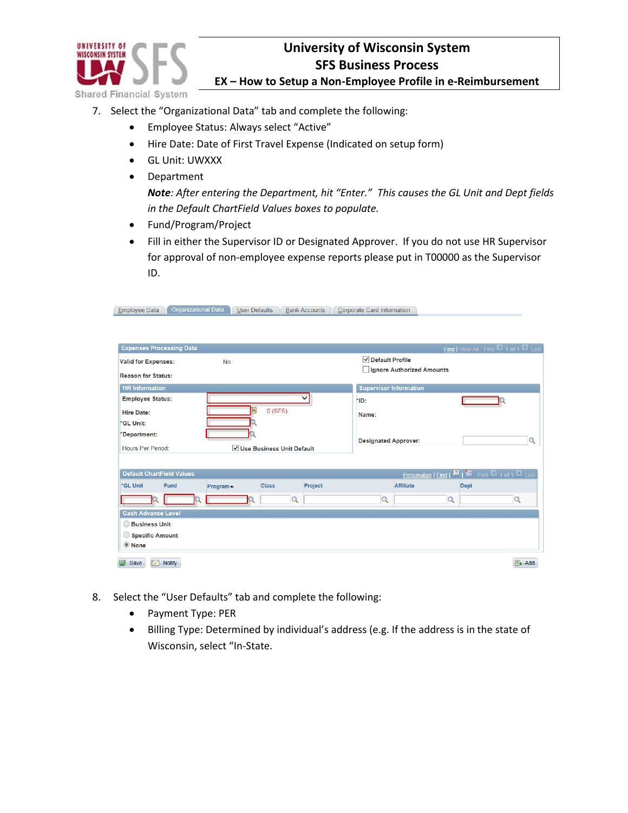

**EX – How to Setup a Non-Employee Profile in e-Reimbursement**

- 7. Select the "Organizational Data" tab and complete the following:
	- Employee Status: Always select "Active"
	- Hire Date: Date of First Travel Expense (Indicated on setup form)
	- GL Unit: UWXXX
	- Department

*Note: After entering the Department, hit "Enter." This causes the GL Unit and Dept fields in the Default ChartField Values boxes to populate.*

- Fund/Program/Project
- Fill in either the Supervisor ID or Designated Approver. If you do not use HR Supervisor for approval of non-employee expense reports please put in T00000 as the Supervisor ID.

| <b>Employee Data</b>             | <b>Organizational Data</b>  | <b>User Defaults</b>    |              | <b>Bank Accounts</b> | Corporate Card Information              |                               |                           |             |                                                    |                    |
|----------------------------------|-----------------------------|-------------------------|--------------|----------------------|-----------------------------------------|-------------------------------|---------------------------|-------------|----------------------------------------------------|--------------------|
|                                  |                             |                         |              |                      |                                         |                               |                           |             |                                                    |                    |
| <b>Expenses Processing Data</b>  |                             |                         |              |                      |                                         |                               |                           |             |                                                    |                    |
|                                  |                             |                         |              |                      |                                         |                               |                           |             | Find   View All First 4 1 of 1 Last                |                    |
| <b>Valid for Expenses:</b>       |                             | <b>No</b>               |              |                      |                                         | √ Default Profile             |                           |             |                                                    |                    |
| <b>Reason for Status:</b>        |                             |                         |              |                      |                                         |                               | Ignore Authorized Amounts |             |                                                    |                    |
| <b>HR Information</b>            |                             |                         |              |                      |                                         | <b>Supervisor Information</b> |                           |             |                                                    |                    |
| <b>Employee Status:</b>          |                             |                         |              |                      | *ID:                                    |                               |                           |             |                                                    |                    |
| <b>Hire Date:</b>                |                             | $\overline{\mathbf{B}}$ | 0(SFS)       |                      | Name:                                   |                               |                           |             |                                                    |                    |
| *GL Unit:                        |                             |                         |              |                      |                                         |                               |                           |             |                                                    |                    |
| *Department:                     |                             |                         |              |                      |                                         |                               |                           |             |                                                    |                    |
| Hours Per Period:                | √ Use Business Unit Default |                         |              |                      | $\Omega$<br><b>Designated Approver:</b> |                               |                           |             |                                                    |                    |
|                                  |                             |                         |              |                      |                                         |                               |                           |             |                                                    |                    |
| <b>Default ChartField Values</b> |                             |                         |              |                      |                                         |                               |                           |             | Personalize   Find   D       First   1 of 1   Last |                    |
| *GL Unit<br>Fund                 |                             | Program▲                | <b>Class</b> | Project              |                                         | Affiliate                     |                           | <b>Dept</b> |                                                    |                    |
|                                  | Ο                           | $\Omega$                | $\alpha$     |                      |                                         | Q                             |                           | $\mathsf Q$ | Q                                                  |                    |
| <b>Cash Advance Level</b>        |                             |                         |              |                      |                                         |                               |                           |             |                                                    |                    |
| <b>Business Unit</b>             |                             |                         |              |                      |                                         |                               |                           |             |                                                    |                    |
| Specific Amount                  |                             |                         |              |                      |                                         |                               |                           |             |                                                    |                    |
| <b>O</b> None                    |                             |                         |              |                      |                                         |                               |                           |             |                                                    |                    |
|                                  |                             |                         |              |                      |                                         |                               |                           |             |                                                    |                    |
| Save<br>F<br><b>Notify</b>       |                             |                         |              |                      |                                         |                               |                           |             |                                                    | $\mathbb{F}_+$ Add |

- 8. Select the "User Defaults" tab and complete the following:
	- Payment Type: PER
	- Billing Type: Determined by individual's address (e.g. If the address is in the state of Wisconsin, select "In-State.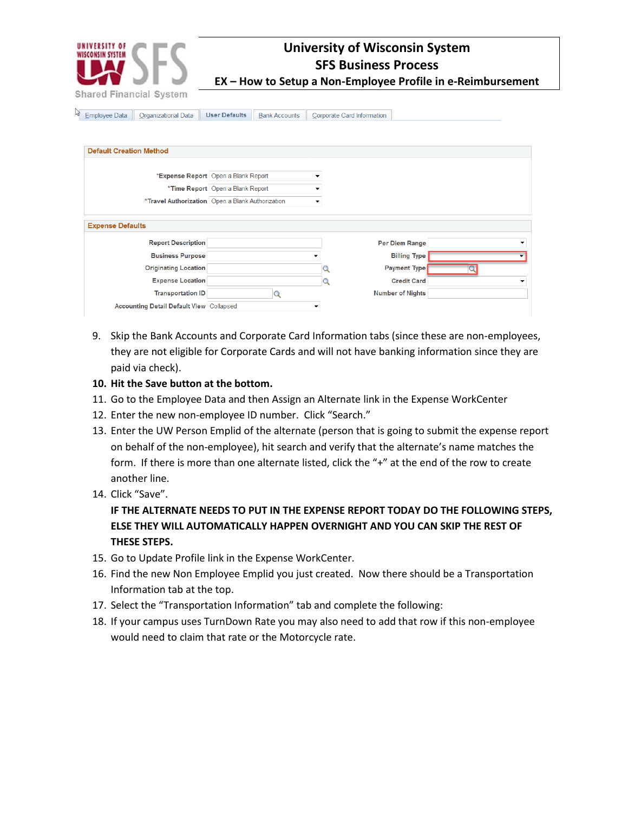

**EX – How to Setup a Non-Employee Profile in e-Reimbursement**

Employee Data Organizational Data User Defaults Bank Accounts Corporate Card Information

| <b>Default Creation Method</b>                       |                                                  |   |                         |  |
|------------------------------------------------------|--------------------------------------------------|---|-------------------------|--|
|                                                      | *Expense Report Open a Blank Report              | ▼ |                         |  |
|                                                      | *Time Report Open a Blank Report                 |   |                         |  |
|                                                      | *Travel Authorization Open a Blank Authorization |   |                         |  |
| <b>Expense Defaults</b><br><b>Report Description</b> |                                                  |   | <b>Per Diem Range</b>   |  |
| <b>Business Purpose</b>                              |                                                  |   | <b>Billing Type</b>     |  |
| <b>Originating Location</b>                          |                                                  |   | <b>Payment Type</b>     |  |
| <b>Expense Location</b>                              |                                                  |   | <b>Credit Card</b>      |  |
| <b>Transportation ID</b>                             |                                                  |   | <b>Number of Nights</b> |  |
| <b>Accounting Detail Default View Collapsed</b>      |                                                  |   |                         |  |

- 9. Skip the Bank Accounts and Corporate Card Information tabs (since these are non-employees, they are not eligible for Corporate Cards and will not have banking information since they are paid via check).
- **10. Hit the Save button at the bottom.**
- 11. Go to the Employee Data and then Assign an Alternate link in the Expense WorkCenter
- 12. Enter the new non-employee ID number. Click "Search."
- 13. Enter the UW Person Emplid of the alternate (person that is going to submit the expense report on behalf of the non-employee), hit search and verify that the alternate's name matches the form. If there is more than one alternate listed, click the "+" at the end of the row to create another line.
- 14. Click "Save".

#### **IF THE ALTERNATE NEEDS TO PUT IN THE EXPENSE REPORT TODAY DO THE FOLLOWING STEPS, ELSE THEY WILL AUTOMATICALLY HAPPEN OVERNIGHT AND YOU CAN SKIP THE REST OF THESE STEPS.**

- 15. Go to Update Profile link in the Expense WorkCenter.
- 16. Find the new Non Employee Emplid you just created. Now there should be a Transportation Information tab at the top.
- 17. Select the "Transportation Information" tab and complete the following:
- 18. If your campus uses TurnDown Rate you may also need to add that row if this non-employee would need to claim that rate or the Motorcycle rate.